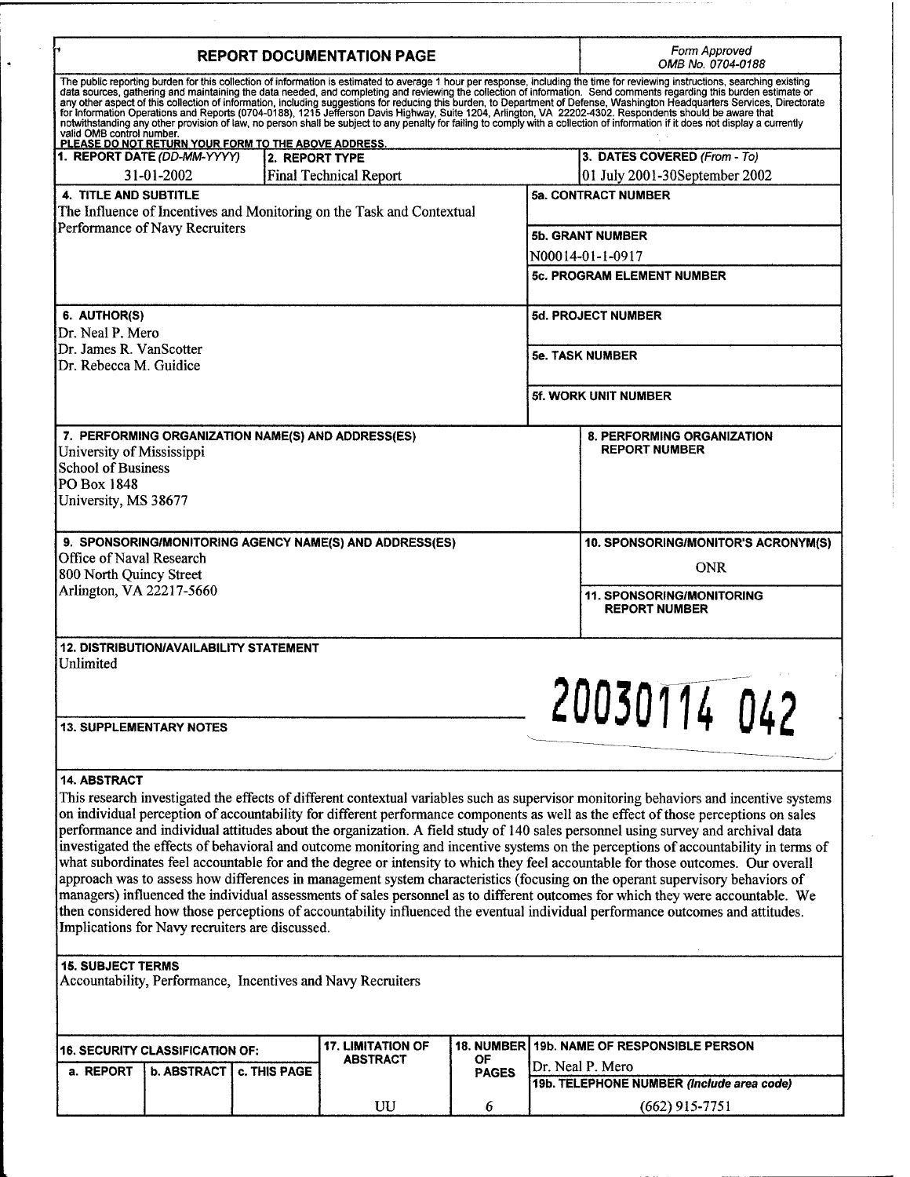| <b>REPORT DOCUMENTATION PAGE</b>                                                                                                                                                                                                                                                                                                                                                                                                                                                                                                                                                                                                                                                                                                                                                                                                                                                                                                                                                                                                                                                                                                                                                                                                                                   |                               |                 |                    | Form Approved<br>OMB No. 0704-0188                          |                                                           |  |
|--------------------------------------------------------------------------------------------------------------------------------------------------------------------------------------------------------------------------------------------------------------------------------------------------------------------------------------------------------------------------------------------------------------------------------------------------------------------------------------------------------------------------------------------------------------------------------------------------------------------------------------------------------------------------------------------------------------------------------------------------------------------------------------------------------------------------------------------------------------------------------------------------------------------------------------------------------------------------------------------------------------------------------------------------------------------------------------------------------------------------------------------------------------------------------------------------------------------------------------------------------------------|-------------------------------|-----------------|--------------------|-------------------------------------------------------------|-----------------------------------------------------------|--|
| The public reporting burden for this collection of information is estimated to average 1 hour per response, including the time for reviewing instructions, searching existing<br>data sources, gathering and maintaining the data needed, and completing and reviewing the collection of information. Send comments regarding this burden estimate or<br>any other aspect of this collection of information, including suggestions for reducing this burden, to Department of Defense, Washington Headquarters Services, Directorate<br>for Information Operations and Reports (0704-0188)<br>valid OMB control number.<br>PLEASE DO NOT RETURN YOUR FORM TO THE ABOVE ADDRESS.                                                                                                                                                                                                                                                                                                                                                                                                                                                                                                                                                                                    |                               |                 |                    |                                                             |                                                           |  |
| 1. REPORT DATE (DD-MM-YYYY)<br>2. REPORT TYPE                                                                                                                                                                                                                                                                                                                                                                                                                                                                                                                                                                                                                                                                                                                                                                                                                                                                                                                                                                                                                                                                                                                                                                                                                      |                               |                 |                    | 3. DATES COVERED (From - To)                                |                                                           |  |
| 31-01-2002                                                                                                                                                                                                                                                                                                                                                                                                                                                                                                                                                                                                                                                                                                                                                                                                                                                                                                                                                                                                                                                                                                                                                                                                                                                         | <b>Final Technical Report</b> |                 |                    | 01 July 2001-30September 2002<br><b>5a. CONTRACT NUMBER</b> |                                                           |  |
| 4. TITLE AND SUBTITLE<br>The Influence of Incentives and Monitoring on the Task and Contextual                                                                                                                                                                                                                                                                                                                                                                                                                                                                                                                                                                                                                                                                                                                                                                                                                                                                                                                                                                                                                                                                                                                                                                     |                               |                 |                    |                                                             |                                                           |  |
| Performance of Navy Recruiters                                                                                                                                                                                                                                                                                                                                                                                                                                                                                                                                                                                                                                                                                                                                                                                                                                                                                                                                                                                                                                                                                                                                                                                                                                     |                               |                 |                    | <b>5b. GRANT NUMBER</b>                                     |                                                           |  |
|                                                                                                                                                                                                                                                                                                                                                                                                                                                                                                                                                                                                                                                                                                                                                                                                                                                                                                                                                                                                                                                                                                                                                                                                                                                                    |                               |                 |                    | N00014-01-1-0917                                            |                                                           |  |
|                                                                                                                                                                                                                                                                                                                                                                                                                                                                                                                                                                                                                                                                                                                                                                                                                                                                                                                                                                                                                                                                                                                                                                                                                                                                    |                               |                 |                    | <b>5c. PROGRAM ELEMENT NUMBER</b>                           |                                                           |  |
|                                                                                                                                                                                                                                                                                                                                                                                                                                                                                                                                                                                                                                                                                                                                                                                                                                                                                                                                                                                                                                                                                                                                                                                                                                                                    |                               |                 |                    |                                                             |                                                           |  |
| 6. AUTHOR(S)<br>Dr. Neal P. Mero                                                                                                                                                                                                                                                                                                                                                                                                                                                                                                                                                                                                                                                                                                                                                                                                                                                                                                                                                                                                                                                                                                                                                                                                                                   |                               |                 |                    | 5d. PROJECT NUMBER                                          |                                                           |  |
| Dr. James R. VanScotter                                                                                                                                                                                                                                                                                                                                                                                                                                                                                                                                                                                                                                                                                                                                                                                                                                                                                                                                                                                                                                                                                                                                                                                                                                            |                               |                 |                    | <b>5e. TASK NUMBER</b>                                      |                                                           |  |
| Dr. Rebecca M. Guidice                                                                                                                                                                                                                                                                                                                                                                                                                                                                                                                                                                                                                                                                                                                                                                                                                                                                                                                                                                                                                                                                                                                                                                                                                                             |                               |                 |                    |                                                             |                                                           |  |
|                                                                                                                                                                                                                                                                                                                                                                                                                                                                                                                                                                                                                                                                                                                                                                                                                                                                                                                                                                                                                                                                                                                                                                                                                                                                    |                               |                 |                    | <b>5f. WORK UNIT NUMBER</b>                                 |                                                           |  |
| 7. PERFORMING ORGANIZATION NAME(S) AND ADDRESS(ES)<br>University of Mississippi<br><b>School of Business</b><br>PO Box 1848<br>University, MS 38677                                                                                                                                                                                                                                                                                                                                                                                                                                                                                                                                                                                                                                                                                                                                                                                                                                                                                                                                                                                                                                                                                                                |                               |                 |                    |                                                             | <b>8. PERFORMING ORGANIZATION</b><br><b>REPORT NUMBER</b> |  |
| 9. SPONSORING/MONITORING AGENCY NAME(S) AND ADDRESS(ES)                                                                                                                                                                                                                                                                                                                                                                                                                                                                                                                                                                                                                                                                                                                                                                                                                                                                                                                                                                                                                                                                                                                                                                                                            |                               |                 |                    |                                                             | 10. SPONSORING/MONITOR'S ACRONYM(S)                       |  |
| Office of Naval Research                                                                                                                                                                                                                                                                                                                                                                                                                                                                                                                                                                                                                                                                                                                                                                                                                                                                                                                                                                                                                                                                                                                                                                                                                                           |                               |                 |                    |                                                             | <b>ONR</b>                                                |  |
| 800 North Quincy Street<br>Arlington, VA 22217-5660                                                                                                                                                                                                                                                                                                                                                                                                                                                                                                                                                                                                                                                                                                                                                                                                                                                                                                                                                                                                                                                                                                                                                                                                                |                               |                 |                    |                                                             |                                                           |  |
|                                                                                                                                                                                                                                                                                                                                                                                                                                                                                                                                                                                                                                                                                                                                                                                                                                                                                                                                                                                                                                                                                                                                                                                                                                                                    |                               |                 |                    |                                                             | <b>11. SPONSORING/MONITORING</b><br><b>REPORT NUMBER</b>  |  |
| 12. DISTRIBUTION/AVAILABILITY STATEMENT<br>Unlimited<br>20030114 042                                                                                                                                                                                                                                                                                                                                                                                                                                                                                                                                                                                                                                                                                                                                                                                                                                                                                                                                                                                                                                                                                                                                                                                               |                               |                 |                    |                                                             |                                                           |  |
| <b>13. SUPPLEMENTARY NOTES</b>                                                                                                                                                                                                                                                                                                                                                                                                                                                                                                                                                                                                                                                                                                                                                                                                                                                                                                                                                                                                                                                                                                                                                                                                                                     |                               |                 |                    |                                                             |                                                           |  |
| 14. ABSTRACT<br>This research investigated the effects of different contextual variables such as supervisor monitoring behaviors and incentive systems<br>on individual perception of accountability for different performance components as well as the effect of those perceptions on sales<br>performance and individual attitudes about the organization. A field study of 140 sales personnel using survey and archival data<br>investigated the effects of behavioral and outcome monitoring and incentive systems on the perceptions of accountability in terms of<br>what subordinates feel accountable for and the degree or intensity to which they feel accountable for those outcomes. Our overall<br>approach was to assess how differences in management system characteristics (focusing on the operant supervisory behaviors of<br>managers) influenced the individual assessments of sales personnel as to different outcomes for which they were accountable. We<br>then considered how those perceptions of accountability influenced the eventual individual performance outcomes and attitudes.<br>Implications for Navy recruiters are discussed.<br><b>15. SUBJECT TERMS</b><br>Accountability, Performance, Incentives and Navy Recruiters |                               |                 |                    |                                                             |                                                           |  |
| 18. NUMBER 19b. NAME OF RESPONSIBLE PERSON<br><b>17. LIMITATION OF</b><br><b>16. SECURITY CLASSIFICATION OF:</b>                                                                                                                                                                                                                                                                                                                                                                                                                                                                                                                                                                                                                                                                                                                                                                                                                                                                                                                                                                                                                                                                                                                                                   |                               |                 |                    |                                                             |                                                           |  |
| a. REPORT<br>b. ABSTRACT   c. THIS PAGE                                                                                                                                                                                                                                                                                                                                                                                                                                                                                                                                                                                                                                                                                                                                                                                                                                                                                                                                                                                                                                                                                                                                                                                                                            |                               | <b>ABSTRACT</b> | ОF<br><b>PAGES</b> |                                                             | Dr. Neal P. Mero                                          |  |
|                                                                                                                                                                                                                                                                                                                                                                                                                                                                                                                                                                                                                                                                                                                                                                                                                                                                                                                                                                                                                                                                                                                                                                                                                                                                    |                               |                 |                    |                                                             | 19b. TELEPHONE NUMBER (Include area code)                 |  |
|                                                                                                                                                                                                                                                                                                                                                                                                                                                                                                                                                                                                                                                                                                                                                                                                                                                                                                                                                                                                                                                                                                                                                                                                                                                                    |                               | UU              | 6                  |                                                             | $(662)$ 915-7751                                          |  |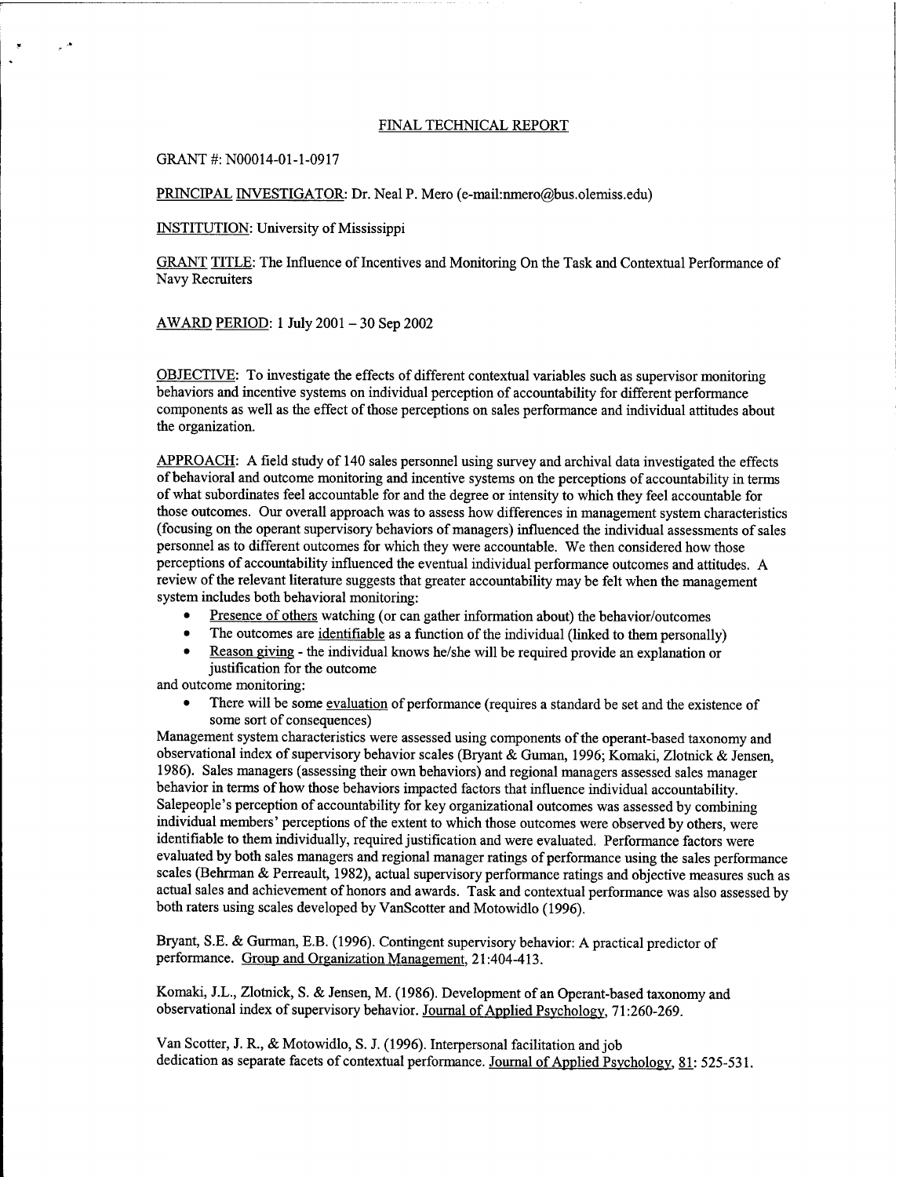## FINAL TECHNICAL REPORT

GRANT #: N00014-01-1-0917

 $\epsilon^{(1)}$ 

PRINCIPAL INVESTIGATOR: Dr. Neal P. Mero (e-mail:nmero@bus.olemiss.edu)

INSTITUTION: University of Mississippi

GRANT TITLE: The Influence of Incentives and Monitoring On the Task and Contextual Performance of Navy Recruiters

AWARD PERIOD: <sup>1</sup> July <sup>2001</sup> - <sup>30</sup> Sep <sup>2002</sup>

OBJECTIVE: To investigate the effects of different contextual variables such as supervisor monitoring behaviors and incentive systems on individual perception of accountability for different performance components as well as the effect of those perceptions on sales performance and individual attitudes about the organization.

APPROACH: A field study of 140 sales personnel using survey and archival data investigated the effects of behavioral and outcome monitoring and incentive systems on the perceptions of accountability in terms of what subordinates feel accountable for and the degree or intensity to which they feel accountable for those outcomes. Our overall approach was to assess how differences in management system characteristics (focusing on the operant supervisory behaviors of managers) influenced the individual assessments of sales personnel as to different outcomes for which they were accountable. We then considered how those perceptions of accountability influenced the eventual individual performance outcomes and attitudes. A review of the relevant literature suggests that greater accountability may be felt when the management system includes both behavioral monitoring:

- Presence of others watching (or can gather information about) the behavior/outcomes
- The outcomes are <u>identifiable</u> as a function of the individual (linked to them personally)
- Reason giving the individual knows he/she will be required provide an explanation or justification for the outcome

and outcome monitoring:

There will be some evaluation of performance (requires a standard be set and the existence of some sort of consequences)

Management system characteristics were assessed using components of the operant-based taxonomy and observational index of supervisory behavior scales (Bryant & Guman, 1996; Komaki, Zlotnick & Jensen, 1986). Sales managers (assessing their own behaviors) and regional managers assessed sales manager behavior in terms of how those behaviors impacted factors that influence individual accountability. Salepeople's perception of accountability for key organizational outcomes was assessed by combining individual members' perceptions of the extent to which those outcomes were observed by others, were identifiable to them individually, required justification and were evaluated. Performance factors were evaluated by both sales managers and regional manager ratings of performance using the sales performance scales (Behrman & Perreault, 1982), actual supervisory performance ratings and objective measures such as actual sales and achievement of honors and awards. Task and contextual performance was also assessed by both raters using scales developed by VanScotter and Motowidlo (1996).

Bryant, S.E. & Gurman, E.B. (1996). Contingent supervisory behavior: A practical predictor of performance. Group and Organization Management. 21:404-413.

Komaki, J.L., Zlotnick, S. & Jensen, M. (1986). Development of an Operant-based taxonomy and observational index of supervisory behavior. Journal of Applied Psychology, 71:260-269.

Van Scotter, J. R., & Motowidlo, S. J. (1996). Interpersonal facilitation and job dedication as separate facets of contextual performance. Journal of Applied Psychology, 81: 525-531.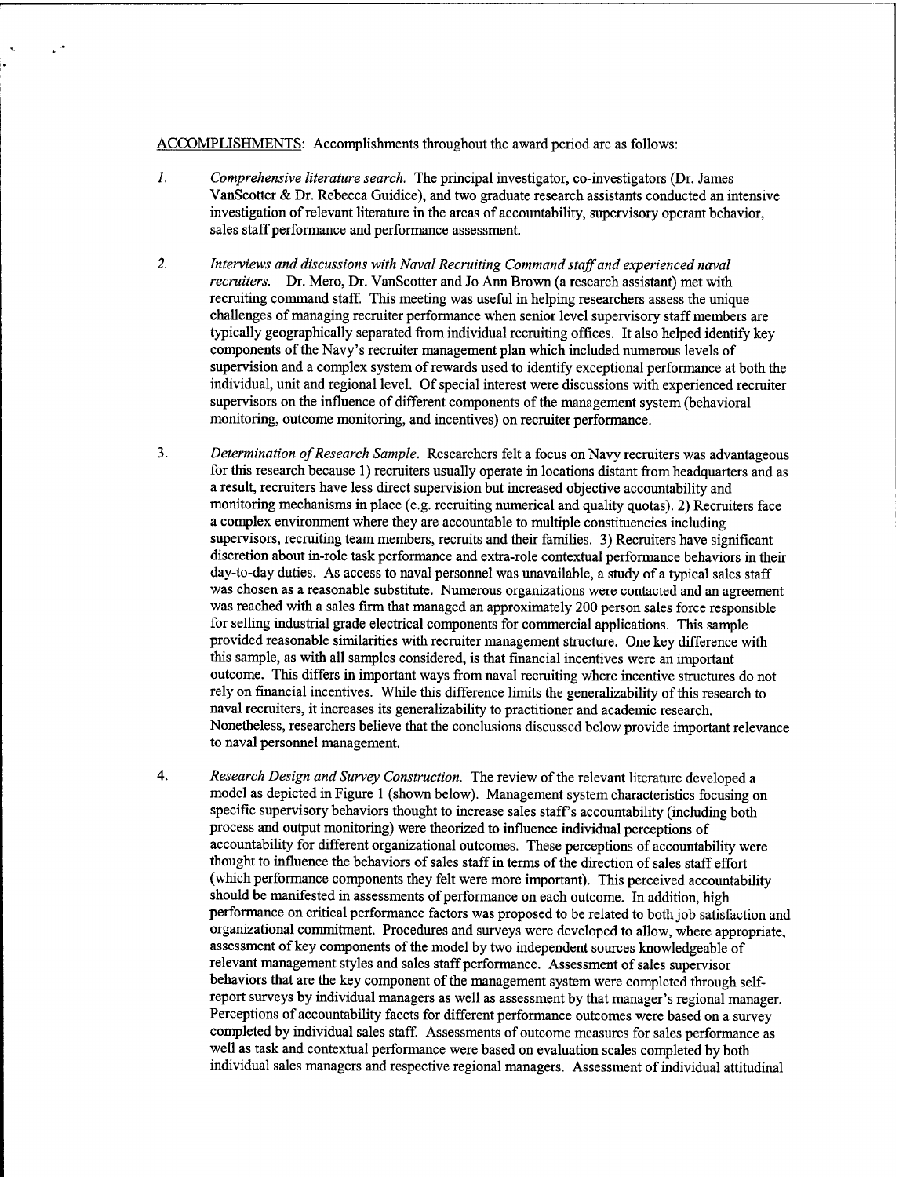ACCOMPLISHMENTS: Accomplishments throughout the award period are as follows:

- *1. Comprehensive literature search.* The principal investigator, co-investigators (Dr. James VanScotter & Dr. Rebecca Guidice), and two graduate research assistants conducted an intensive investigation ofrelevant literature in the areas of accountability, supervisory operant behavior, sales staff performance and performance assessment.
- *2. Interviews and discussions with Naval Recruiting Command staffand experienced naval recruiters.* Dr. Mero, Dr. VanScotter and Jo Ann Brown (a research assistant) met with recruiting command staff. This meeting was useful in helping researchers assess the unique challenges of managing recruiter performance when senior level supervisory staff members are typically geographically separated from individual recruiting offices. It also helped identify key components of the Navy's recruiter management plan which included numerous levels of supervision and a complex system of rewards used to identify exceptional performance at both the individual, unit and regional level. Of special interest were discussions with experienced recruiter supervisors on the influence of different components of the management system (behavioral monitoring, outcome monitoring, and incentives) on recruiter performance.
- 3. *Determination ofResearch Sample.* Researchers felt a focus on Navy recruiters was advantageous for this research because 1) recruiters usually operate in locations distant from headquarters and as a result, recruiters have less direct supervision but increased objective accountability and monitoring mechanisms in place (e.g. recruiting numerical and quality quotas). 2) Recruiters face a complex environment where they are accountable to multiple constituencies including supervisors, recruiting team members, recruits and their families. 3) Recruiters have significant discretion about in-role task performance and extra-role contextual performance behaviors in their day-to-day duties. As access to naval personnel was unavailable, a study of a typical sales staff was chosen as a reasonable substitute. Numerous organizations were contacted and an agreement was reached with a sales firm that managed an approximately 200 person sales force responsible for selling industrial grade electrical components for commercial applications. This sample provided reasonable similarities with recruiter management structure. One key difference with this sample, as with all samples considered, is that financial incentives were an important outcome. This differs in important ways from naval recruiting where incentive structures do not rely on financial incentives. While this difference limits the generalizability ofthis research to naval recruiters, it increases its generalizability to practitioner and academic research. Nonetheless, researchers believe that the conclusions discussed below provide important relevance to naval personnel management.
- 4. *Research Design and Survey Construction.* The review ofthe relevant literature developed a model as depicted in Figure <sup>1</sup> (shown below). Management system characteristics focusing on specific supervisory behaviors thought to increase sales staff's accountability (including both process and output monitoring) were theorized to influence individual perceptions of accountability for different organizational outcomes. These perceptions of accountability were thought to influence the behaviors of sales staff in terms of the direction of sales staff effort (which performance components they felt were more important). This perceived accountability should be manifested in assessments of performance on each outcome. In addition, high performance on critical performance factors was proposed to be related to both job satisfaction and organizational commitment. Procedures and surveys were developed to allow, where appropriate, assessment of key components of the model by two independent sources knowledgeable of relevant management styles and sales staff performance. Assessment of sales supervisor behaviors that are the key component of the management system were completed through selfreport surveys by individual managers as well as assessment by that manager's regional manager. Perceptions of accountability facets for different performance outcomes were based on a survey completed by individual sales staff. Assessments of outcome measures for sales performance as well as task and contextual performance were based on evaluation scales completed by both individual sales managers and respective regional managers. Assessment ofindividual attitudinal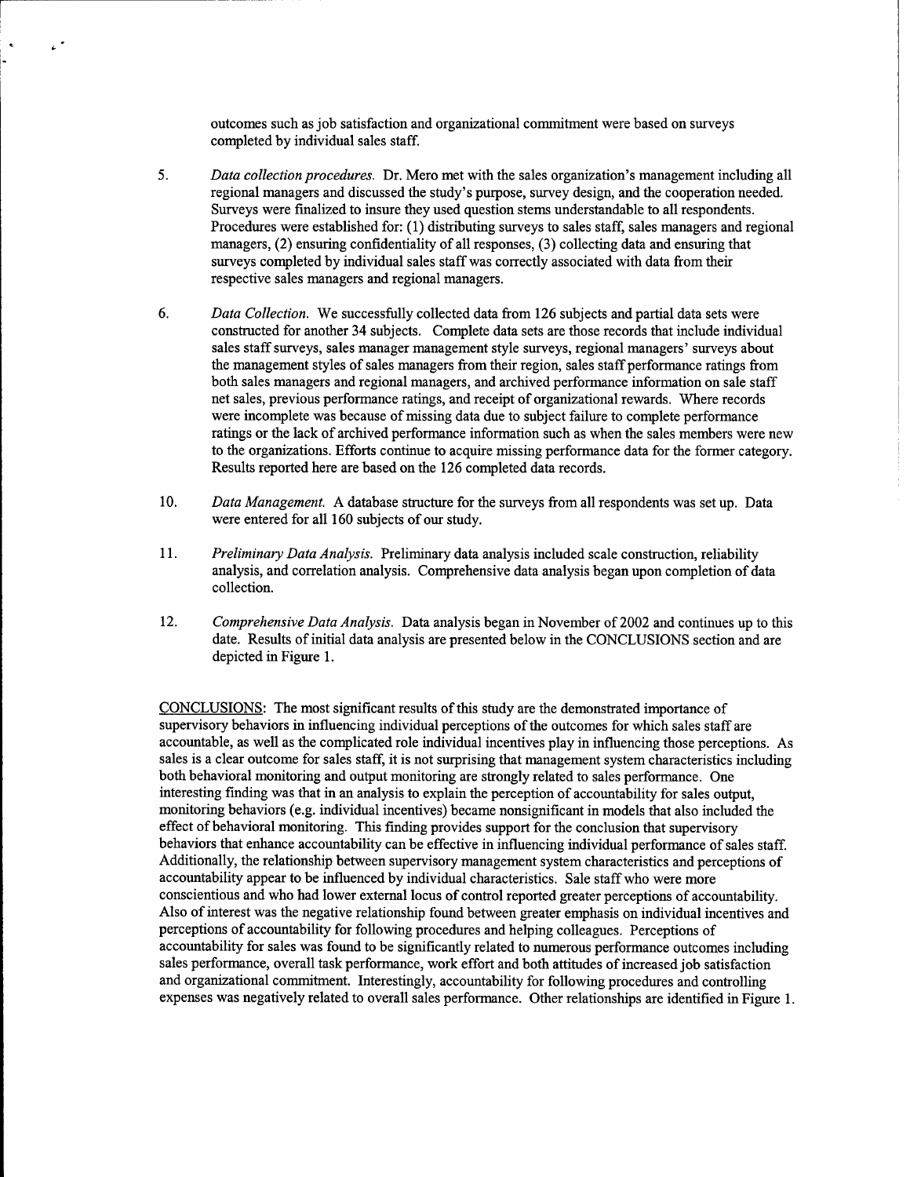outcomes such as job satisfaction and organizational commitment were based on surveys completed by individual sales staff.

 $\epsilon^{\pm}$ 

- 5. *Data collection procedures.* Dr. Mero met with the sales organization's management including all regional managers and discussed the study's purpose, survey design, and the cooperation needed. Surveys were finalized to insure they used question stems understandable to all respondents. Procedures were established for: (1) distributing surveys to sales staff, sales managers and regional managers, (2) ensuring confidentiality of all responses, (3) collecting data and ensuring that surveys completed by individual sales staff was correctly associated with data from their respective sales managers and regional managers.
- 6. *Data Collection.* We successfully collected data from 126 subjects and partial data sets were constructed for another 34 subjects. Complete data sets are those records that include individual sales staff surveys, sales manager management style surveys, regional managers' surveys about the management styles of sales managers from their region, sales staff performance ratings from both sales managers and regional managers, and archived performance information on sale staff net sales, previous performance ratings, and receipt of organizational rewards. Where records were incomplete was because of missing data due to subject failure to complete performance ratings or the lack of archived performance information such as when the sales members were new to the organizations. Efforts continue to acquire missing performance data for the former category. Results reported here are based on the 126 completed data records.
- 10. *Data Management.* A database structure for the surveys from all respondents was set up. Data were entered for all 160 subjects of our study.
- 11. *Preliminary Data Analysis.* Preliminary data analysis included scale construction, reliability analysis, and correlation analysis. Comprehensive data analysis began upon completion of data collection.
- 12. *Comprehensive Data Analysis.* Data analysis began in November of 2002 and continues up to this date. Results of initial data analysis are presented below in the CONCLUSIONS section and are depicted in Figure 1.

CONCLUSIONS: The most significant results ofthis study are the demonstrated importance of supervisory behaviors in influencing individual perceptions of the outcomes for which sales staff are accountable, as well as the complicated role individual incentives play in influencing those perceptions. As sales is a clear outcome for sales staff, it is not surprising that management system characteristics including both behavioral monitoring and output monitoring are strongly related to sales performance. One interesting finding was that in an analysis to explain the perception of accountability for sales output, monitoring behaviors (e.g. individual incentives) became nonsignificant in models that also included the effect of behavioral monitoring. This finding provides support for the conclusion that supervisory behaviors that enhance accountability can be effective in influencing individual performance of sales staff. Additionally, the relationship between supervisory management system characteristics and perceptions of accountability appear to be influenced by individual characteristics. Sale staff who were more conscientious and who had lower external locus of control reported greater perceptions of accountability. Also of interest was the negative relationship found between greater emphasis on individual incentives and perceptions of accountability for following procedures and helping colleagues. Perceptions of accountability for sales was found to be significantly related to numerous performance outcomes including sales performance, overall task performance, work effort and both attitudes of increased job satisfaction and organizational commitment. Interestingly, accountability for following procedures and controlling expenses was negatively related to overall sales performance. Other relationships are identified in Figure 1.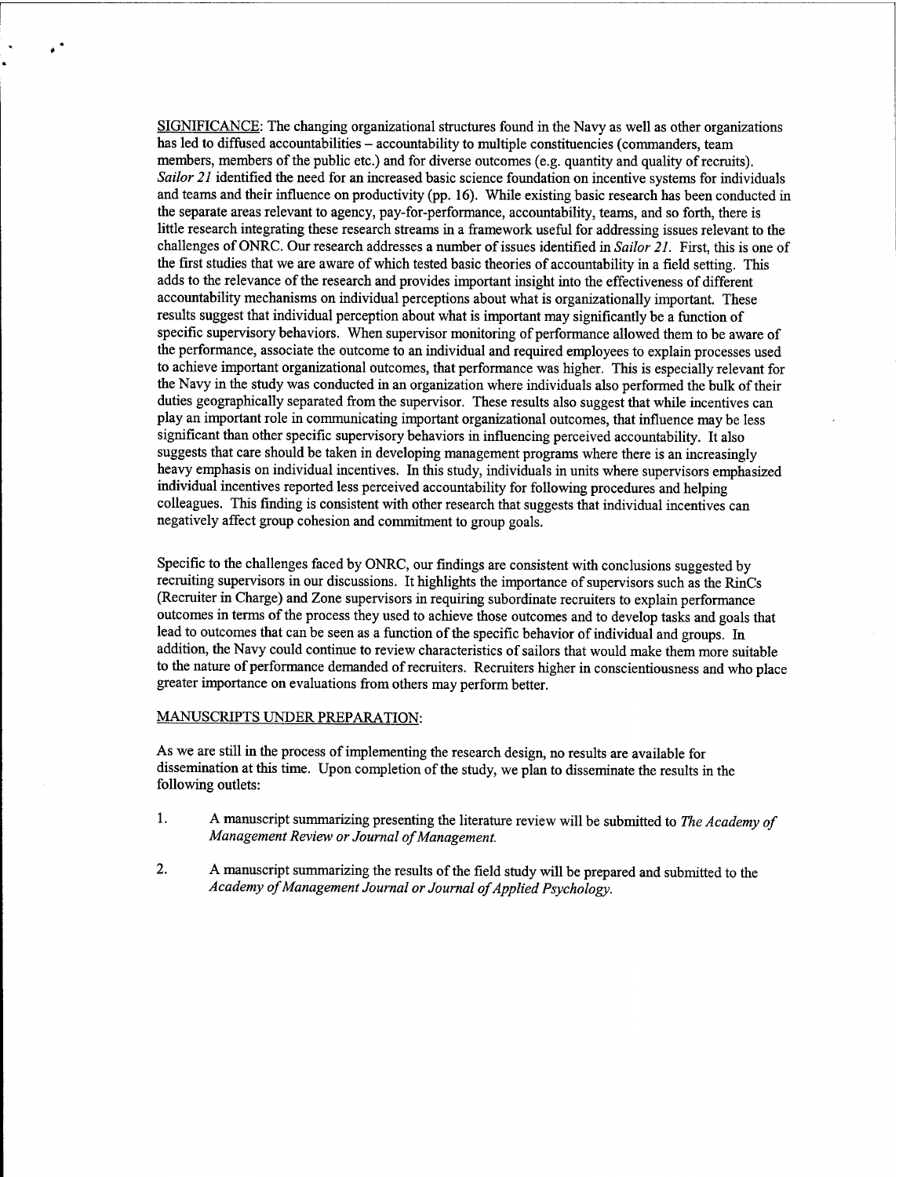SIGNIFICANCE: The changing organizational structures found in the Navy as well as other organizations has led to diffused accountabilities – accountability to multiple constituencies (commanders, team members, members of the public etc.) and for diverse outcomes (e.g. quantity and quality of recruits). *Sailor 21* identified the need for an increased basic science foundation on incentive systems for individuals and teams and their influence on productivity (pp. 16). While existing basic research has been conducted in the separate areas relevant to agency, pay-for-performance, accountability, teams, and so forth, there is little research integrating these research streams in a framework useful for addressing issues relevant to the challenges of ONRC. Our research addresses a number of issues identified in *Sailor 21*. First, this is one of the first studies that we are aware of which tested basic theories of accountability in a field setting. This adds to the relevance of the research and provides important insight into the effectiveness of different accountability mechanisms on individual perceptions about what is organizationally important. These results suggest that individual perception about what is important may significantly be a function of specific supervisory behaviors. When supervisor monitoring of performance allowed them to be aware of the performance, associate the outcome to an individual and required employees to explain processes used to achieve important organizational outcomes, that performance was higher. This is especially relevant for the Navy in the study was conducted in an organization where individuals also performed the bulk of their duties geographically separated from the supervisor. These results also suggest that while incentives can play an important role in communicating important organizational outcomes, that influence may be less significant than other specific supervisory behaviors in influencing perceived accountability. It also suggests that care should be taken in developing management programs where there is an increasingly heavy emphasis on individual incentives. In this study, individuals in units where supervisors emphasized individual incentives reported less perceived accountability for following procedures and helping colleagues. This finding is consistent with other research that suggests that individual incentives can negatively affect group cohesion and commitment to group goals.

Specific to the challenges faced by ONRC, our findings are consistent with conclusions suggested by recruiting supervisors in our discussions. It highlights the importance of supervisors such as the RinCs (Recruiter in Charge) and Zone supervisors in requiring subordinate recruiters to explain performance outcomes in terms of the process they used to achieve those outcomes and to develop tasks and goals that lead to outcomes that can be seen as a function of the specific behavior of individual and groups. In addition, the Navy could continue to review characteristics of sailors that would make them more suitable to the nature of performance demanded of recruiters. Recruiters higher in conscientiousness and who place greater importance on evaluations from others may perform better.

## MANUSCRIPTS UNDER PREPARATION:

 $\ddot{\phantom{1}}$ 

As we are still in the process of implementing the research design, no results are available for dissemination at this time. Upon completion of the study, we plan to disseminate the results in the following outlets:

- 1. A manuscript summarizing presenting the literature review will be submitted to *The Academy of Management Review or Journal of Management.*
- $2.$ A manuscript summarizing the results of the field study will be prepared and submitted to the *Academy ofManagement Journal or Journal ofApplied Psychology.*